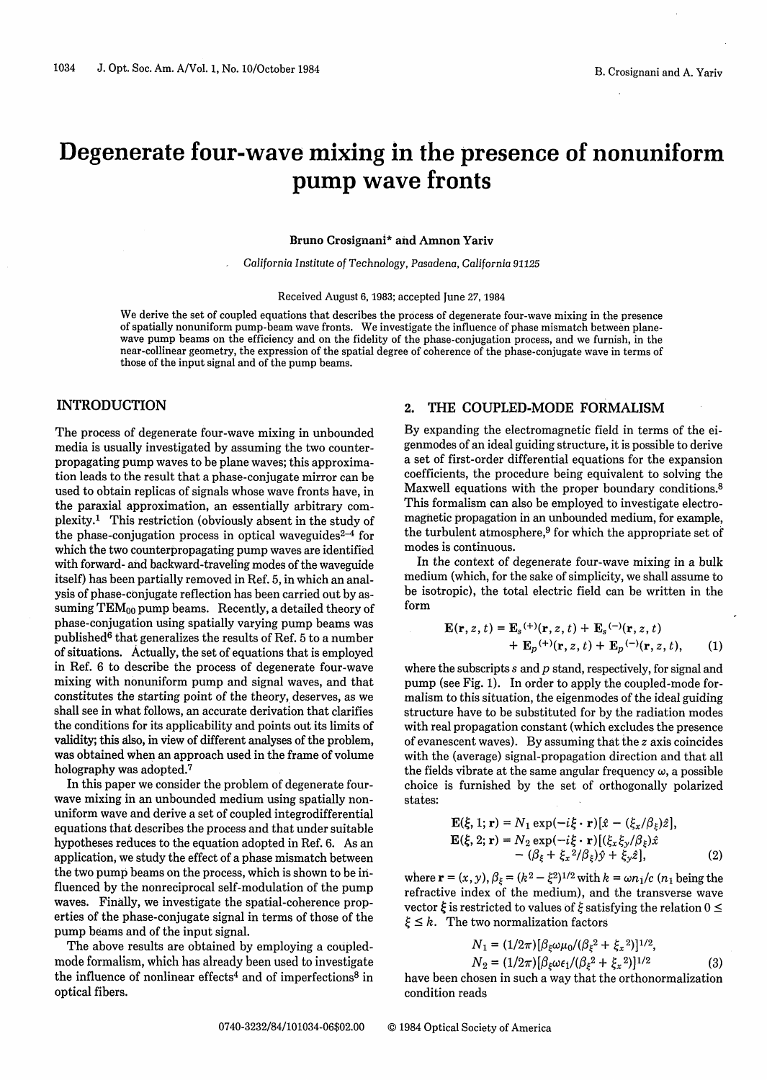# Degenerate four-wave **mixing in** the presence of nonuniform pump wave fronts

#### Bruno Crosignani\* and Amnon Yariv

*California Institute of* Technology, *Pasadena, California 91125*

Received August 6, 1983; accepted June 27, 1984

We derive the set of coupled equations that describes the process of degenerate four-wave mixing in the presence<br>of spatially nonuniform pump-beam wave fronts. We investigate the influence of phase mismatch between planewave pump-beams on the efficiency and on the fidelity of the phase-conjugation process, and we furnish, in the near-collinear geometry, the expression of the spatial degree of coherence of the phase-conjugate wave in terms of those of the input signal and of the pump beams.

## INTRODUCTION

The process of degenerate four-wave mixing in unbounded media is usually investigated by assuming the two counterpropagating pump waves to be plane waves; this approximation leads to the result that a phase-conjugate mirror can be used to obtain replicas of signals whose wave fronts have, in the paraxial approximation, an essentially arbitrary complexity.' This restriction (obviously absent in the study of the phase-conjugation process in optical waveguides<sup>2-4</sup> for which the two counterpropagating pump waves are identified with forward- and backward-traveling modes of the waveguide itself) has been partially removed in Ref. 5, in which an analysis of phase-conjugate reflection has been carried out by assuming  $TEM_{00}$  pump beams. Recently, a detailed theory of phase-conjugation using spatially varying pump beams was published<sup>6</sup> that generalizes the results of Ref.  $5$  to a number of situations. Actually, the set of equations that is employed in Ref. 6 to describe the process of degenerate four-wave mixing with nonuniform pump and signal waves, and that constitutes the starting point of the theory, deserves, as we shall see in what follows, an accurate derivation that clarifies the conditions for its applicability and points out its limits of validity; this also, in view of different analyses of the problem, was obtained when an approach used in the frame of volume holography was adopted.<sup>7</sup>

In this paper we consider the problem of degenerate fourwave mixing in an unbounded medium using spatially nonuniform wave and derive a set of coupled integrodifferential equations that describes the process and that under suitable hypotheses reduces to the equation adopted in Ref. 6. As an application, we study the effect of a phase mismatch between the two pump beams on the process, which is shown to be influenced by the nonreciprocal self-modulation of the pump waves. Finally, we investigate the spatial-coherence properties of the phase-conjugate signal in terms of those of the pump beams and of the input signal.

The above results are obtained by employing a coupledmode formalism, which has already been used to investigate the influence of nonlinear effects<sup>4</sup> and of imperfections<sup>8</sup> in optical fibers.

## **2. THE** COUPLED-MODE FORMALISM

By expanding the electromagnetic field in terms of the eigenmodes of an ideal guiding structure, it is possible to derive a set of first-order differential equations for the expansion coefficients, the procedure being equivalent to solving the Maxwell equations with the proper boundary conditions.8 This formalism can also be employed to investigate electromagnetic propagation in an unbounded medium, for example, the turbulent atmosphere,<sup>9</sup> for which the appropriate set of modes is continuous.

In the context of degenerate four-wave mixing in a bulk medium (which, for the sake of simplicity, we shall assume to be isotropic), the total electric field can be written in the form

$$
\mathbf{E}(\mathbf{r}, z, t) = \mathbf{E}_s^{(+)}(\mathbf{r}, z, t) + \mathbf{E}_s^{(-)}(\mathbf{r}, z, t) + \mathbf{E}_p^{(+)}(\mathbf{r}, z, t),
$$
\n
$$
(1)
$$

where the subscripts  $s$  and  $p$  stand, respectively, for signal and pump (see Fig. 1). In order to apply the coupled-mode formalism to this situation, the eigenmodes of the ideal guiding structure have to be substituted for by the radiation modes with real propagation constant (which excludes the presence of evanescent waves). By assuming that the z axis coincides with the (average) signal-propagation direction and that all the fields vibrate at the same angular frequency  $\omega$ , a possible choice is furnished by the set of orthogonally polarized states:

$$
\mathbf{E}(\xi, 1; \mathbf{r}) = N_1 \exp(-i\xi \cdot \mathbf{r})[\hat{x} - (\xi_x/\beta_{\xi})\hat{z}],
$$
  
\n
$$
\mathbf{E}(\xi, 2; \mathbf{r}) = N_2 \exp(-i\xi \cdot \mathbf{r})[(\xi_x \xi_y/\beta_{\xi})\hat{x} - (\beta_{\xi} + \xi_x^2/\beta_{\xi})\hat{y} + \xi_y \hat{z}],
$$
\n(2)

where  $\mathbf{r} = (x, y), \beta_{\xi} = (k^2 - \xi^2)^{1/2}$  with  $k = \omega n_1/c$  ( $n_1$  being the refractive index of the medium), and the transverse wave vector  $\xi$  is restricted to values of  $\xi$  satisfying the relation  $0 \leq$  $\xi \leq k$ . The two normalization factors

$$
N_1 = (1/2\pi)[\beta_{\xi}\omega\mu_0/(\beta_{\xi}^2 + \xi_x^2)]^{1/2},
$$
  

$$
N_1 = (1/2\pi)[\beta_{\xi}\omega\mu_0/(\beta_{\xi}^2 + \xi_x^2)]^{1/2}
$$
 (2)

 $N_2 = (1/2\pi)[\beta_\xi \omega \epsilon_1/(\beta_\xi^2 + \xi_x^2)]^{1/2}$  (3) have been chosen in such a way that the orthonormalization condition reads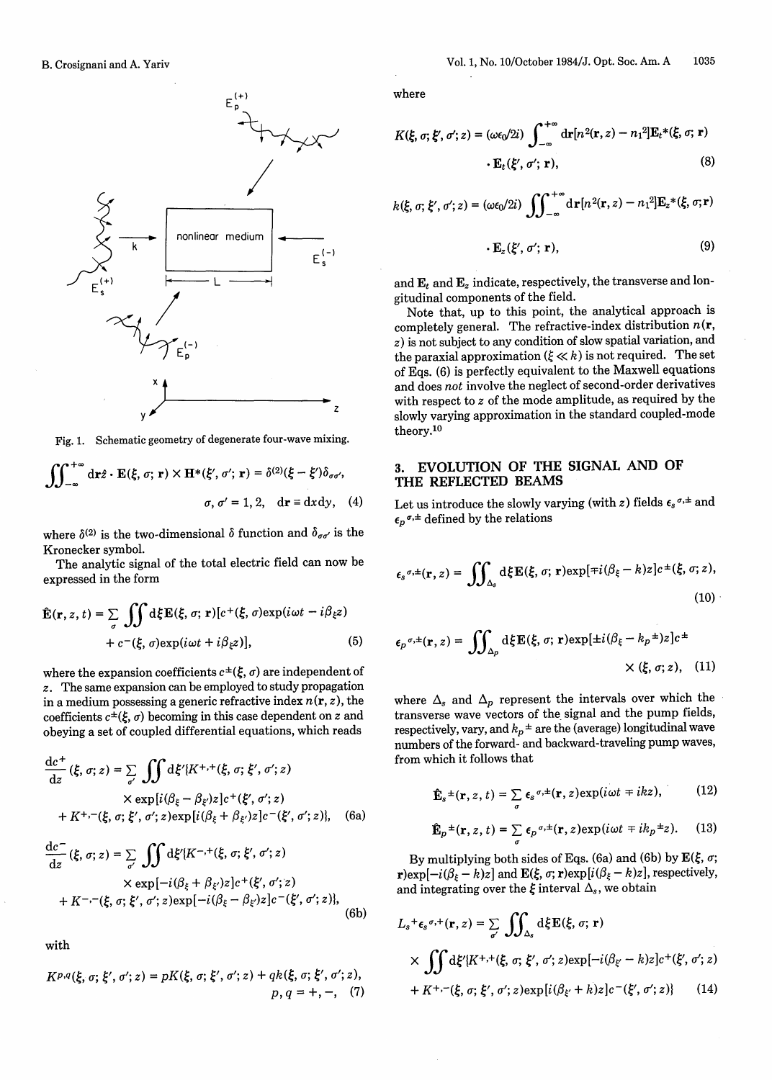

Fig. 1. Schematic geometry of degenerate four-wave mixing.

$$
\iint_{-\infty}^{+\infty} dr \hat{z} \cdot \mathbf{E}(\xi, \sigma; \mathbf{r}) \times \mathbf{H}^*(\xi', \sigma'; \mathbf{r}) = \delta^{(2)}(\xi - \xi') \delta_{\sigma \sigma'},
$$
  

$$
\sigma, \sigma' = 1, 2, \quad d\mathbf{r} \equiv dx dy, \quad (4)
$$

where  $\delta^{(2)}$  is the two-dimensional  $\delta$  function and  $\delta_{\sigma\sigma'}$  is the Kronecker symbol.

The analytic signal of the total electric field can now be expressed in the form

$$
\hat{\mathbf{E}}(\mathbf{r}, z, t) = \sum_{\sigma} \iint d\xi \mathbf{E}(\xi, \sigma; \mathbf{r}) [c^+(\xi, \sigma) \exp(i\omega t - i\beta_{\xi} z) + c^-(\xi, \sigma) \exp(i\omega t + i\beta_{\xi} z)], \tag{5}
$$

where the expansion coefficients  $c^{\pm}(\xi, \sigma)$  are independent of z. The same expansion can be employed to study propagation in a medium possessing a generic refractive index  $n(r, z)$ , the coefficients  $c^{\pm}(\xi, \sigma)$  becoming in this case dependent on z and obeying a set of coupled differential equations, which reads

$$
\frac{dc^{+}}{dz}(\xi, \sigma; z) = \sum_{\sigma'} \iint d\xi' \{K^{+,+}(\xi, \sigma; \xi', \sigma'; z) \times \exp[i(\beta_{\xi} - \beta_{\xi'}) z] c^{+}(\xi', \sigma'; z) + K^{+, -}(\xi, \sigma; \xi', \sigma'; z) \exp[i(\beta_{\xi} + \beta_{\xi'}) z] c^{-}(\xi', \sigma'; z) \}, \quad (6a)
$$

$$
\frac{dc^{-}}{dz}(\xi, \sigma; z) = \sum_{\sigma'} \iint d\xi' \{K^{-,+}(\xi, \sigma; \xi', \sigma'; z) \times \exp[-i(\beta_{\xi} + \beta_{\xi'})z]c^{+}(\xi', \sigma'; z) + K^{-,-}(\xi, \sigma; \xi', \sigma'; z) \exp[-i(\beta_{\xi} - \beta_{\xi'})z]c^{-}(\xi', \sigma'; z)\},
$$
\n(6b)

with

$$
K^{p,q}(\xi, \sigma; \xi', \sigma'; z) = pK(\xi, \sigma; \xi', \sigma'; z) + qk(\xi, \sigma; \xi', \sigma'; z),
$$
  
 
$$
p, q = +, -, (7)
$$

where

$$
K(\xi, \sigma; \xi', \sigma'; z) = (\omega \epsilon_0 / 2i) \int_{-\infty}^{+\infty} dr [n^2(\mathbf{r}, z) - n_1^2] \mathbf{E}_t^*(\xi, \sigma; \mathbf{r})
$$

$$
\cdot \mathbf{E}_t(\xi', \sigma'; \mathbf{r}), \qquad (8)
$$

$$
h(\xi, \sigma; \xi', \sigma'; z) = (\omega \epsilon_0/2i) \int_{-\infty}^{+\infty} d\mathbf{r} [n^2(\mathbf{r}, z) - n_1^2] \mathbf{E}_z^*(\xi, \sigma; \mathbf{r})
$$

$$
\mathbf{E}_z(\xi',\,\sigma';\,\mathbf{r}),\tag{9}
$$

and  $\mathbf{E}_t$  and  $\mathbf{E}_z$  indicate, respectively, the transverse and longitudinal components of the field.

Note that, up to this point, the analytical approach is completely general. The refractive-index distribution  $n(\mathbf{r},$ z) is not subject to any condition of slow spatial variation, and the paraxial approximation  $(\xi \ll k)$  is not required. The set of Eqs. (6) is perfectly equivalent to the Maxwell equations and does *not* involve the neglect of second-order derivatives with respect to z of the mode amplitude, as required by the slowly varying approximation in the standard coupled-mode theory.<sup>10</sup>

# 3. EVOLUTION OF THE SIGNAL AND OF THE REFLECTED BEAMS

Let us introduce the slowly varying (with z) fields  $\epsilon_s \circ$ ,  $\pm$  and  $\epsilon_p$ <sup> $\sigma, \pm$ </sup> defined by the relations

$$
\epsilon_s^{\sigma,\pm}(\mathbf{r},z) = \iint_{\Delta_s} d\xi \mathbf{E}(\xi,\sigma;\mathbf{r}) \exp[\mp i(\beta_{\xi}-k)z]c^{\pm}(\xi,\sigma;z),\tag{10}
$$

$$
\epsilon_p^{\sigma, \pm}(\mathbf{r}, z) = \iint_{\Delta_p} d\xi \mathbf{E}(\xi, \sigma; \mathbf{r}) \exp[\pm i(\beta_{\xi} - k_p^{\pm})z] c^{\pm}
$$
  
 
$$
\times (\xi, \sigma; z), \quad (11)
$$

where  $\Delta_s$  and  $\Delta_p$  represent the intervals over which the transverse wave vectors of the signal and the pump fields, respectively, vary, and  $k_p$ <sup> $\pm$ </sup> are the (average) longitudinal wave numbers of the forward- and backward-traveling pump waves, from which it follows that

$$
\mathbf{\hat{E}}_s^{\pm}(\mathbf{r},z,t) = \sum_{\sigma} \epsilon_s^{\sigma,\pm}(\mathbf{r},z) \exp(i\omega t \mp ikz), \quad (12)
$$

$$
\hat{\mathbf{E}}_p^{\pm}(\mathbf{r}, z, t) = \sum_{\sigma} \epsilon_p^{\sigma, \pm}(\mathbf{r}, z) \exp(i\omega t \mp ik_p^{\pm}z). \tag{13}
$$

By multiplying both sides of Eqs. (6a) and (6b) by  $E(\xi, \sigma;$  $r$ )exp[ $-i(\beta_{\xi} - k)z$ ] and  $\mathbf{E}(\xi, \sigma; \mathbf{r})$ exp[ $i(\beta_{\xi} - k)z$ ], respectively, and integrating over the  $\xi$  interval  $\Delta_s$ , we obtain

$$
L_s^+ \epsilon_s^{\sigma,+}(\mathbf{r}, z) = \sum_{\sigma'} \iint_{\Delta_s} d\xi \mathbf{E}(\xi, \sigma; \mathbf{r})
$$
  
 
$$
\times \iint d\xi' \{K^{+,+}(\xi, \sigma; \xi', \sigma'; z) \exp[-i(\beta_{\xi'} - k)z]c^+(\xi', \sigma'; z)
$$
  
+ 
$$
K^{+,-}(\xi, \sigma; \xi', \sigma'; z) \exp[i(\beta_{\xi'} + k)z]c^-(\xi', \sigma'; z)] \qquad (14)
$$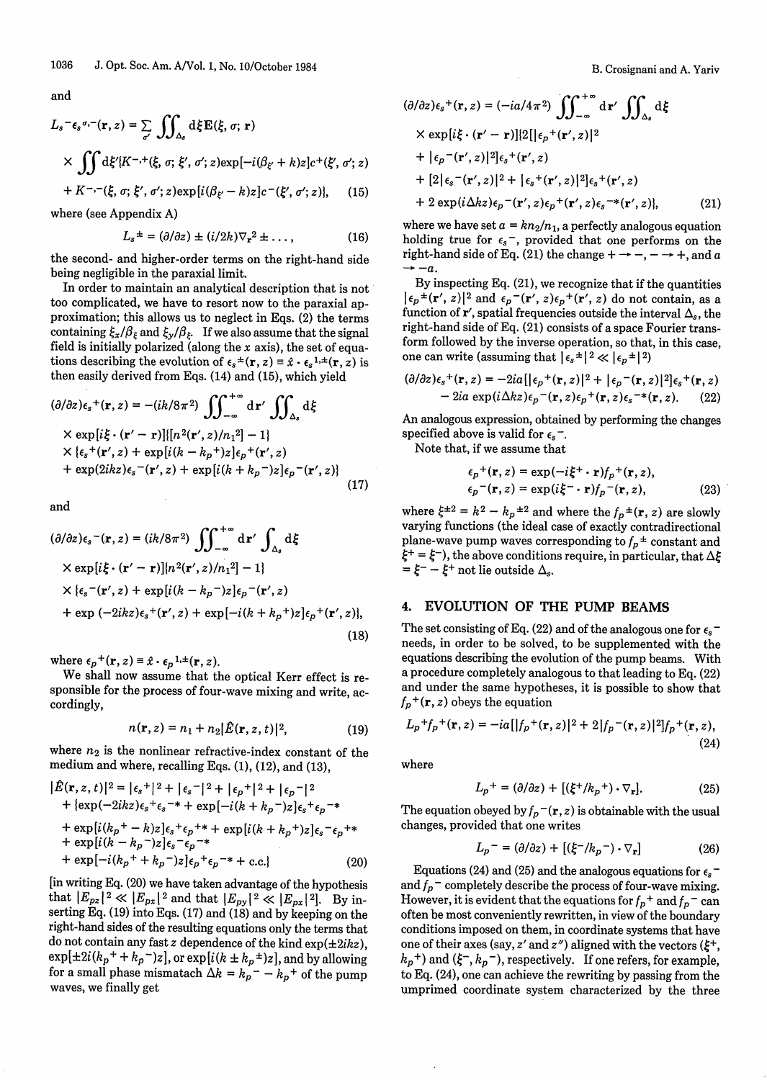and

$$
L_s^- \epsilon_s \sigma_r^-(\mathbf{r}, z) = \sum_{\sigma'} \iint_{\Delta_s} d\xi \mathbf{E}(\xi, \sigma; \mathbf{r})
$$
  
 
$$
\times \iint d\xi' \{K^{-,+}(\xi, \sigma; \xi', \sigma'; z) \exp[-i(\beta_{\xi'} + k)z]c^{+}(\xi', \sigma'; z)
$$
  
+ 
$$
K^{-,-}(\xi, \sigma; \xi', \sigma'; z) \exp[i(\beta_{\xi'} - k)z]c^{-}(\xi', \sigma'; z)], \quad (15)
$$

where (see Appendix A)

$$
L_s^{\pm} = (\partial/\partial z) \pm (i/2k)\nabla_r^2 \pm \dots, \qquad (16)
$$

the second- and higher-order terms on the right-hand side being negligible in the paraxial limit.

In order to maintain an analytical description that is not too complicated, we have to resort now to the paraxial approximation; this allows us to neglect in Eqs. (2) the terms containing  $\xi_x/\beta_{\xi}$  and  $\xi_y/\beta_{\xi}$ . If we also assume that the signal field is initially polarized (along the  $x$  axis), the set of equations describing the evolution of  $\epsilon_s \pm (\mathbf{r}, z) = \hat{x} \cdot \epsilon_s^{-1,\pm}(\mathbf{r}, z)$  is then easily derived from Eqs. (14) and (15), which yield

$$
(\partial/\partial z)\epsilon_{s}^{+}(\mathbf{r},z) = -(ik/8\pi^{2}) \iint_{-\infty}^{+\infty} d\mathbf{r}' \iint_{\Delta_{s}} d\xi
$$
  
 
$$
\times \exp[i\xi \cdot (\mathbf{r}' - \mathbf{r})][[n^{2}(\mathbf{r}', z)/n_{1}^{2}] - 1]
$$
  
 
$$
\times {\epsilon_{s}^{+}(\mathbf{r}', z) + \exp[i(k - k_{p}^{+})z]\epsilon_{p}^{+}(\mathbf{r}', z)}
$$
  
+ 
$$
\exp(2ikz)\epsilon_{s}^{-}(\mathbf{r}', z) + \exp[i(k + k_{p}^{-})z]\epsilon_{p}^{-}(\mathbf{r}', z)]
$$
 (17)

and

$$
(\partial/\partial z)\epsilon_s^-(\mathbf{r},z) = (ik/8\pi^2)\iint_{-\infty}^{+\infty} d\mathbf{r}' \int_{\Delta_s} d\xi
$$
  
 
$$
\times \exp[i\xi \cdot (\mathbf{r}' - \mathbf{r})][n^2(\mathbf{r}',z)/n_1^2] - 1]
$$
  
 
$$
\times {\epsilon_s}^-(\mathbf{r}',z) + \exp[i(k-k_p^-)z] \epsilon_p^-(\mathbf{r}',z)
$$
  
 
$$
+ \exp(-2ikz)\epsilon_s^+(\mathbf{r}',z) + \exp[-i(k+k_p^+)z] \epsilon_p^+(\mathbf{r}',z)],
$$
  
(18)

where  $\epsilon_p^+(\mathbf{r}, z) \equiv \hat{x} \cdot \epsilon_p^{\mathbf{1}, \pm}(\mathbf{r}, z)$ .

We shall now assume that the optical Kerr effect is responsible for the process of four-wave mixing and write, accordingly,

$$
n(\mathbf{r}, z) = n_1 + n_2 |\hat{E}(\mathbf{r}, z, t)|^2, \tag{19}
$$

where  $n_2$  is the nonlinear refractive-index constant of the medium and where, recalling Eqs. (1), (12), and (13),

$$
|E(\mathbf{r}, z, t)|^2 = |\epsilon_s|^2 + |\epsilon_s|^2 + |\epsilon_p|^2 + |\epsilon_p|^2 + |\epsilon_p|^2 + |\epsilon_p|^2 + |\epsilon_p|^2 + |\epsilon_p|^2 + |\epsilon_p|^2 + |\epsilon_p|^2 + |\epsilon_p|^2 + |\epsilon_p|^2 + |\epsilon_p|^2 + |\epsilon_p|^2 + |\epsilon_p|^2 + |\epsilon_p|^2 + |\epsilon_p|^2 + |\epsilon_p|^2 + |\epsilon_p|^2 + |\epsilon_p|^2 + |\epsilon_p|^2 + |\epsilon_p|^2 + |\epsilon_p|^2 + |\epsilon_p|^2 + |\epsilon_p|^2 + |\epsilon_p|^2 + |\epsilon_p|^2 + |\epsilon_p|^2 + |\epsilon_p|^2 + |\epsilon_p|^2 + |\epsilon_p|^2 + |\epsilon_p|^2 + |\epsilon_p|^2 + |\epsilon_p|^2 + |\epsilon_p|^2 + |\epsilon_p|^2 + |\epsilon_p|^2 + |\epsilon_p|^2 + |\epsilon_p|^2 + |\epsilon_p|^2 + |\epsilon_p|^2 + |\epsilon_p|^2 + |\epsilon_p|^2 + |\epsilon_p|^2 + |\epsilon_p|^2 + |\epsilon_p|^2 + |\epsilon_p|^2 + |\epsilon_p|^2 + |\epsilon_p|^2 + |\epsilon_p|^2 + |\epsilon_p|^2 + |\epsilon_p|^2 + |\epsilon_p|^2 + |\epsilon_p|^2 + |\epsilon_p|^2 + |\epsilon_p|^2 + |\epsilon_p|^2 + |\epsilon_p|^2 + |\epsilon_p|^2 + |\epsilon_p|^2 + |\epsilon_p|^2 + |\epsilon_p|^2 + |\epsilon_p|^2 + |\epsilon_p|^2 + |\epsilon_p|^2 + |\epsilon_p|^2 + |\epsilon_p|^2 + |\epsilon_p|^2 + |\epsilon_p|^2 + |\epsilon_p|^2 + |\epsilon_p|^2 + |\epsilon_p|^2 + |\epsilon_p|^2 + |\epsilon_p|^2 + |\epsilon_p|^2 + |\epsilon_p|^2 + |\epsilon_p|^2 + |\epsilon_p|^2 + |\epsilon_p|^2 + |\epsilon_p|^2 + |\epsilon_p|^2 + |\epsilon_p|^2 + |\epsilon_p|^2 + |\epsilon_p|^2 + |\epsilon_p|^2 + |\epsilon_p|^2 + |\epsilon_p|^2 + |\epsilon_p|^2 + |\epsilon_p|^2 + |\epsilon_p|^2 + |\epsilon_p|^2 + |\epsilon_p|^2 + |\epsilon_p|^2 + |\epsilon_p|^2 + |\epsilon_p|^2 + |\epsilon_p|^2 + |\epsilon_p|^2 + |\epsilon_p|^2 + |\epsilon_p|^2 + |\epsilon_p|^2 + |\epsilon_p|^2 + |\epsilon_p|^2 + |\epsilon_p|^2 + |\epsilon_p|^2 + |\epsilon_p|^2 + |\epsilon_p|^2 + |\epsilon_p|^2 + |\epsilon_p|^2 + |\epsilon_p|^2 + |\epsilon_p|^2 + |\epsilon_p|^2 + |\epsilon_p|^2 + |\epsilon_p|^2 + |\epsilon_p|^2 + |\epsilon_p|^2 + |\epsilon_p|^2 + |\epsilon_p|^2 + |\epsilon_p|^2 + |\epsilon_p|^2 + |\epsilon_p|^2 + |\epsilon_p|^2 + |\epsilon_p|^2 + |\epsilon_p|^2 + |\epsilon_p|^2
$$

[in writing Eq. (20) we have taken advantage of the hypothesis that  $|E_{pz}|^2 \ll |E_{px}|^2$  and that  $|E_{py}|^2 \ll |E_{px}|^2$ . By inserting Eq. (19) into Eqs. (17) and (18) and by keeping on the right-hand sides of the resulting equations only the terms that do not contain any fast z dependence of the kind  $exp(\pm 2ikz)$ ,  $exp[\pm 2i(k_p + k_p - z]$ , or  $exp[i(k \pm k_p + z)]$ , and by allowing for a small phase mismatach  $\Delta k = k_p - k_p + o f$  the pump waves, we finally get

$$
(\partial/\partial z)\epsilon_s^+(\mathbf{r},z) = (-ia/4\pi^2)\iint_{-\infty}^{+\infty} d\mathbf{r}' \iint_{\Delta_s} d\xi
$$
  
\n
$$
\times \exp[i\xi \cdot (\mathbf{r}' - \mathbf{r})][2[|\epsilon_p + (\mathbf{r}',z)|^2]
$$
  
\n
$$
+ |\epsilon_p - (\mathbf{r}',z)|^2 |\epsilon_s + (\mathbf{r}',z)
$$
  
\n
$$
+ [2|\epsilon_s - (\mathbf{r}',z)|^2 + |\epsilon_s + (\mathbf{r}',z)|^2 |\epsilon_s + (\mathbf{r}',z)
$$
  
\n
$$
+ 2 \exp(i\Delta kz)\epsilon_p - (\mathbf{r}',z)\epsilon_p + (\mathbf{r}',z)\epsilon_s - (\mathbf{r}',z)], \qquad (21)
$$

where we have set  $a = kn_2/n_1$ , a perfectly analogous equation holding true for  $\epsilon_s$ , provided that one performs on the right-hand side of Eq. (21) the change  $+ \rightarrow -, - \rightarrow +$ , and a  $\rightarrow -a$ .

By inspecting Eq. (21), we recognize that if the quantities  $\lbrack \epsilon_p^{\pm}(\mathbf{r}', z) \rbrack^2$  and  $\epsilon_p^{\mathrm{-}}(\mathbf{r}', z) \epsilon_p^{\mathrm{+}}(\mathbf{r}', z)$  do not contain, as a function of r', spatial frequencies outside the interval  $\Delta_s$ , the right-hand side of Eq. (21) consists of a space Fourier transform followed by the inverse operation, so that, in this case, one can write (assuming that  $|\epsilon_s^{\pm}|^2 \ll |\epsilon_p^{\pm}|^2$ )

$$
(\partial/\partial z)\epsilon_{s}^{+}(\mathbf{r},z) = -2ia[|\epsilon_{p}^{+}(\mathbf{r},z)|^{2} + |\epsilon_{p}^{-}(\mathbf{r},z)|^{2}]\epsilon_{s}^{+}(\mathbf{r},z) - 2ia \exp(i\Delta kz)\epsilon_{p}^{-}(\mathbf{r},z)\epsilon_{p}^{+}(\mathbf{r},z)\epsilon_{s}^{-*}(\mathbf{r},z).
$$
 (22)

An analogous expression, obtained by performing the changes specified above is valid for  $\epsilon_s$ .

Note that, if we assume that

$$
\epsilon_p^{+}(\mathbf{r}, z) = \exp(-i\xi^{+} \cdot \mathbf{r})f_p^{+}(\mathbf{r}, z),
$$
  
\n
$$
\epsilon_p^{-}(\mathbf{r}, z) = \exp(i\xi^{-} \cdot \mathbf{r})f_p^{-}(\mathbf{r}, z),
$$
\n(23)

where  $\xi^{\pm 2} = k^2 - k_p^{\pm 2}$  and where the  $f_p^{\pm}(\mathbf{r}, z)$  are slowly varying functions (the ideal case of exactly contradirectional plane-wave pump waves corresponding to  $f_p$ <sup>+</sup> constant and  $\xi^+ = \xi^-$ , the above conditions require, in particular, that  $\Delta \xi$  $=\xi^{-} - \xi^{+}$  not lie outside  $\Delta_{s}$ .

## 4. EVOLUTION OF THE PUMP BEAMS

The set consisting of Eq. (22) and of the analogous one for  $\epsilon_s$ needs, in order to be solved, to be supplemented with the equations describing the evolution of the pump beams. With a procedure completely analogous to that leading to Eq. (22) and under the same hypotheses, it is possible to show that  $f_p^+({\bf r}, z)$  obeys the equation

$$
L_p + f_p + (\mathbf{r}, z) = -ia[|f_p + (\mathbf{r}, z)|^2 + 2|f_p - (\mathbf{r}, z)|^2]f_p + (\mathbf{r}, z),
$$
\n(24)

where

$$
L_p{}^+ = (\partial/\partial z) + [(\xi^+ / k_p{}^+) \cdot \nabla_r]. \tag{25}
$$

The equation obeyed by  $f_p^-(\mathbf{r}, z)$  is obtainable with the usual changes, provided that one writes

$$
L_p^- = (\partial/\partial z) + [(\xi^-/k_p^-) \cdot \nabla_{\mathbf{r}}] \tag{26}
$$

Equations (24) and (25) and the analogous equations for  $\epsilon_s$ and  $f_p$ <sup>-</sup> completely describe the process of four-wave mixing. However, it is evident that the equations for  $f_p$ <sup>+</sup> and  $f_p$ <sup>-</sup> can often be most conveniently rewritten, in view of the boundary conditions imposed on them, in coordinate systems that have one of their axes (say,  $z'$  and  $z''$ ) aligned with the vectors ( $\xi^+$ ,  $k_p$ <sup>+</sup>) and ( $\xi$ <sup>-</sup>,  $k_p$ <sup>-</sup>), respectively. If one refers, for example, to Eq. (24), one can achieve the rewriting by passing from the umprimed coordinate system characterized by the three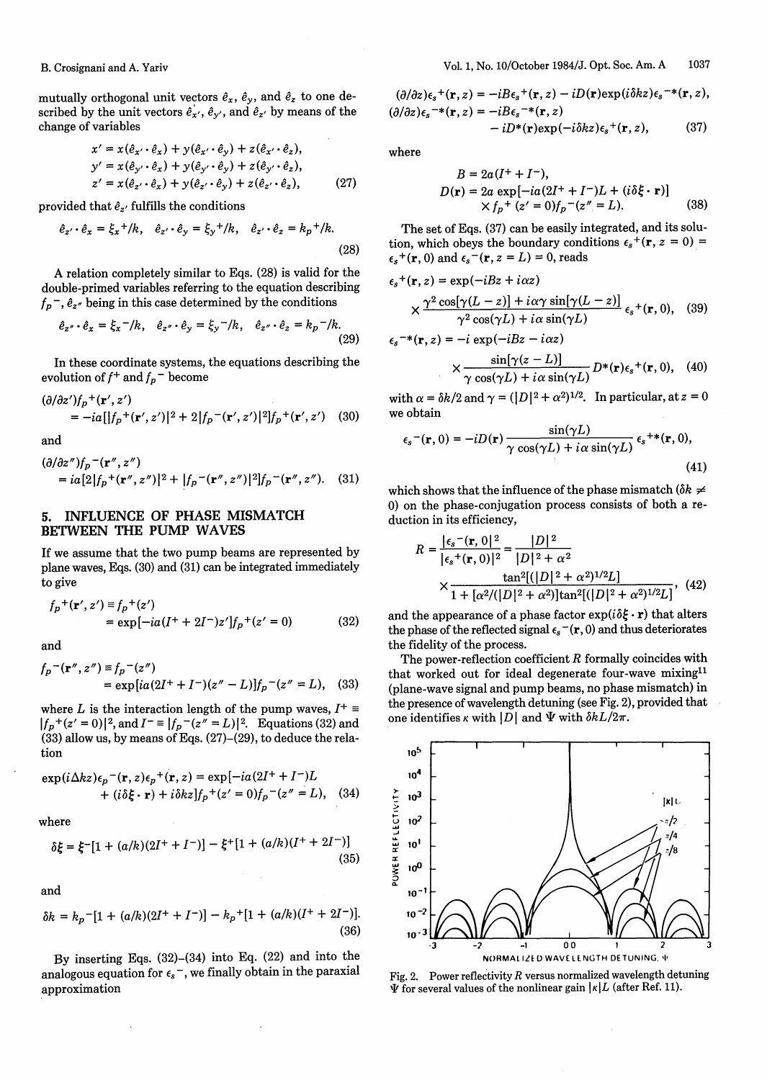#### B. Crosignani and A. Yariv

mutually orthogonal unit vectors  $\hat{e}_x$ ,  $\hat{e}_y$ , and  $\hat{e}_z$  to one described by the unit vectors  $\hat{e}_{x'}$ ,  $\hat{e}_{y'}$ , and  $\hat{e}_{z'}$  by means of the change of variables

$$
x' = x(\hat{e}_{x'} \cdot \hat{e}_x) + y(\hat{e}_{x'} \cdot \hat{e}_y) + z(\hat{e}_{x'} \cdot \hat{e}_z),
$$
  
\n
$$
y' = x(\hat{e}_{y'} \cdot \hat{e}_x) + y(\hat{e}_{y'} \cdot \hat{e}_y) + z(\hat{e}_{y'} \cdot \hat{e}_z),
$$
  
\n
$$
z' = x(\hat{e}_{z'} \cdot \hat{e}_x) + y(\hat{e}_{z'} \cdot \hat{e}_y) + z(\hat{e}_{z'} \cdot \hat{e}_z),
$$
 (27)

provided that  $\hat{e}_{z'}$  fulfills the conditions

$$
\hat{e}_{z'}\cdot\hat{e}_x=\xi_x+\kappa,\quad \hat{e}_{z'}\cdot\hat{e}_y=\xi_y+\kappa,\quad \hat{e}_{z'}\cdot\hat{e}_z=k_p+\kappa.
$$
\n(28)

A relation completely similar to Eqs. (28) is valid for the double-primed variables referring to the equation describing  $f_p^-$ ,  $\hat{e}_{z''}$  being in this case determined by the conditions

$$
\hat{e}_{z''} \cdot \hat{e}_x = \xi_x - /k, \quad \hat{e}_{z''} \cdot \hat{e}_y = \xi_y - /k, \quad \hat{e}_{z''} \cdot \hat{e}_z = k_p - /k. \tag{29}
$$

In these coordinate systems, the equations describing the evolution of  $f^+$  and  $f_p^-$  become

$$
(\partial/\partial z')f_p + (\mathbf{r}', z')= -ia[|f_p + (\mathbf{r}', z')|^2 + 2|f_p - (\mathbf{r}', z')|^2]f_p + (\mathbf{r}', z') \quad (30)
$$

and

$$
(\partial/\partial z'')f_p^{-}(\mathbf{r}'', z'')= ia[2|f_p^{+}(\mathbf{r}'', z'')|^{2} + |f_p^{-}(\mathbf{r}'', z'')|^{2}]f_p^{-}(\mathbf{r}'', z'').
$$
 (31)

## 5. INFLUENCE OF PHASE MISMATCH BETWEEN THE PUMP WAVES

If we assume that the two pump beams are represented by plane waves, Eqs. (30) and (31) can be integrated immediately to give

$$
f_p^{+}(\mathbf{r}', z') \equiv f_p^{+}(z')
$$
  
=  $\exp[-ia(I^+ + 2I^-)z']f_p^{+}(z' = 0)$  (32)

and

$$
f_p^{-}(\mathbf{r}'', z'') \equiv f_p^{-}(z'')
$$
  
=  $\exp[ia(2I^+ + I^-)(z'' - L)]f_p^{-}(z'' = L),$  (33)

where *L* is the interaction length of the pump waves,  $I^+$  =  $|f_p+(z'=0)|^2$ , and  $I = |f_p-(z''=L)|^2$ . Equations (32) and  $(33)$  allow us, by means of Eqs.  $(27)$ - $(29)$ , to deduce the relation

$$
\exp(i\Delta kz)\epsilon_p^-(\mathbf{r},z)\epsilon_p^+(\mathbf{r},z) = \exp[-ia(2I^+ + I^-)L
$$
  
+ 
$$
(i\delta\xi \cdot \mathbf{r}) + i\delta kz]f_p^+(z' = 0)f_p^-(z'' = L), \quad (34)
$$

where

$$
\delta \xi = \xi^{-}[1 + (a/k)(2I^{+} + I^{-})] - \xi^{+}[1 + (a/k)(I^{+} + 2I^{-})]
$$
\n(35)

and

$$
\delta k = k_p - [1 + (a/k)(2I^+ + I^-)] - k_p + [1 + (a/k)(I^+ + 2I^-)].
$$
\n(36)

By inserting Eqs.  $(32)-(34)$  into Eq.  $(22)$  and into the analogous equation for  $\epsilon_s^-$ , we finally obtain in the paraxial approximation

$$
(\partial/\partial z)\epsilon_s^+({\bf r},z) = -iB\epsilon_s^+({\bf r},z) - iD({\bf r})\exp(i\delta kz)\epsilon_s^{-*}({\bf r},z),
$$
  

$$
(\partial/\partial z)\epsilon_s^{-*}({\bf r},z) = -iB\epsilon_s^{-*}({\bf r},z)
$$

$$
-iD^*(\mathbf{r})\exp(-i\delta kz)\epsilon_s^+(\mathbf{r},z),\qquad(37)
$$

where

$$
B = 2a(I^{+} + I^{-}),
$$
  
\n
$$
D(\mathbf{r}) = 2a \exp[-ia(2I^{+} + I^{-})L + (i\delta\xi \cdot \mathbf{r})]
$$
  
\n
$$
\times f_{p}^{+}(z' = 0)f_{p}^{-(z'' = L)}.
$$
\n(38)

The set of Eqs. (37) can be easily integrated, and its solution, which obeys the boundary conditions  $\epsilon_s^+({\bf r}, z = 0)$  =  $\epsilon_s^+(\mathbf{r}, 0)$  and  $\epsilon_s^-(\mathbf{r}, z = L) = 0$ , reads

$$
\epsilon_s^+(\mathbf{r}, z) = \exp(-iBz + i\alpha z)
$$
  
 
$$
\times \frac{\gamma^2 \cos[\gamma(L-z)] + i\alpha \gamma \sin[\gamma(L-z)]}{\gamma^2 \cos(\gamma L) + i\alpha \sin(\gamma L)} \epsilon_s^+(\mathbf{r}, 0), \quad (39)
$$
  
\n
$$
\epsilon_s^{-*}(\mathbf{r}, z) = -i \exp(-iBz - i\alpha z)
$$

$$
\times \frac{\sin[\gamma(z-L)]}{\gamma \cos(\gamma L) + i\alpha \sin(\gamma L)} D^*(\mathbf{r}) \epsilon_s^+(\mathbf{r}, 0), \quad (40)
$$

with  $\alpha = \delta k/2$  and  $\gamma = (|D|^2 + \alpha^2)^{1/2}$ . In particular, at  $z = 0$ we obtain

$$
\epsilon_s^{-}(\mathbf{r},0) = -iD(\mathbf{r}) \frac{\sin(\gamma L)}{\gamma \cos(\gamma L) + i\alpha \sin(\gamma L)} \epsilon_s^{+\ast}(\mathbf{r},0),\tag{41}
$$

which shows that the influence of the phase mismatch ( $\delta k \neq$ 0) on the phase-conjugation process consists of both a reduction in its efficiency,

$$
R = \frac{|\epsilon_s - (\mathbf{r}, 0)|^2}{|\epsilon_s + (\mathbf{r}, 0)|^2} = \frac{|D|^2}{|D|^2 + \alpha^2}
$$
  
 
$$
\times \frac{\tan^2[(|D|^2 + \alpha^2)^{1/2}L]}{1 + [\alpha^2/(|D|^2 + \alpha^2)]\tan^2[(|D|^2 + \alpha^2)^{1/2}L]},
$$
 (42)

and the appearance of a phase factor  $exp(i\delta\xi \cdot \mathbf{r})$  that alters the phase of the reflected signal  $\epsilon_s$ <sup>-</sup>(**r**, 0) and thus deteriorates the fidelity of the process.

The power-reflection coefficient *R* formally coincides with that worked out for ideal degenerate four-wave mixing $11$ (plane-wave signal and pump beams, no phase mismatch) in the presence of wavelength detuning (see Fig. 2), provided that one identifies  $\kappa$  with  $|D|$  and  $\Psi$  with  $\delta kL/2\pi$ .



Fig. 2. Power reflectivity  $R$  versus normalized wavelength detuning  $\Psi$  for several values of the nonlinear gain  $\vert \kappa \vert L$  (after Ref. 11).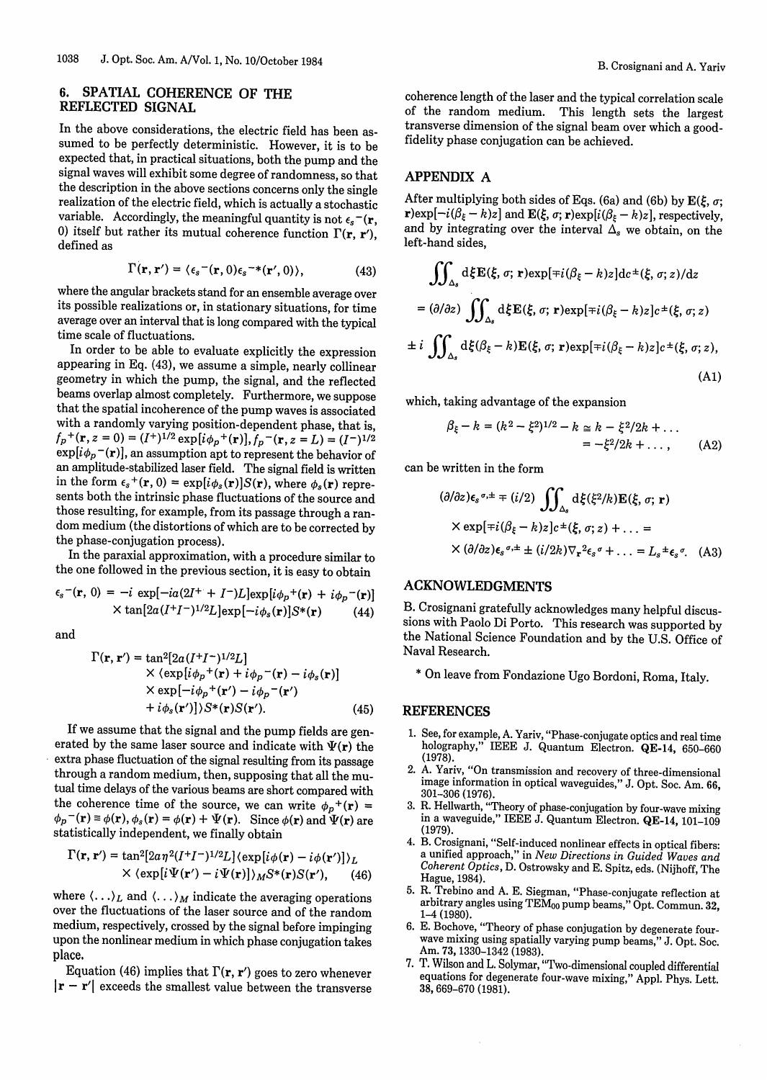## 6. SPATIAL COHERENCE OF THE REFLECTED SIGNAL

In the above considerations, the electric field has been assumed to be perfectly deterministic. However, it is to be expected that, in practical situations, both the pump and the signal waves will exhibit some degree of randomness, so that the description in the above sections concerns only the single realization of the electric field, which is actually a stochastic variable. Accordingly, the meaningful quantity is not  $\epsilon_s$ <sup>-</sup>(r, 0) itself but rather its mutual coherence function  $\Gamma(\mathbf{r}, \mathbf{r}')$ , defined as

$$
\Gamma(\mathbf{r}, \mathbf{r}') = \langle \epsilon_s^-(\mathbf{r}, 0) \epsilon_s^{-*}(\mathbf{r}', 0) \rangle, \tag{43}
$$

where the angular brackets stand for an ensemble average over its possible realizations or, in stationary situations, for time average over an interval that is long compared with the typical time scale of fluctuations.

In order to be able to evaluate explicitly the expression appearing in Eq. (43), we assume a simple, nearly collinear geometry in which the pump, the signal, and the reflected beams overlap almost completely. Furthermore, we suppose that the spatial incoherence of the pump waves is associated with a randomly varying position-dependent phase, that is,  $f_p^+(r, z = 0) = (I^+)^{1/2} \exp[i\phi_p^+(r)], f_p^-(r, z = L) = (I^-)^{1/2}$  $\exp[i\phi_p^-(\mathbf{r})]$ , an assumption apt to represent the behavior of<br>an amplitude-stabilized laser field. The signal field is written in the form  $\epsilon_s^+({\bf r}, 0) = \exp[i\phi_s({\bf r})]S({\bf r})$ , where  $\phi_s({\bf r})$  represents both the intrinsic phase fluctuations of the source and those resulting, for example, from its passage through a random medium (the distortions of which are to be corrected by the phase-conjugation process).

In the paraxial approximation, with a procedure similar to the one followed in the previous section, it is easy to obtain

$$
\epsilon_{s}^{\text{(-)}}(\mathbf{r},\,0) = -i \, \exp[-ia(2I^{+} + I^{-})L] \exp[i\phi_{p}^{+}(\mathbf{r}) + i\phi_{p}^{-}(\mathbf{r})] \times \tan[2a(I^{+}I^{-})^{1/2}L] \exp[-i\phi_{s}(\mathbf{r})] S^{*}(\mathbf{r}) \qquad (44)
$$

and

$$
\Gamma(\mathbf{r}, \mathbf{r}') = \tan^2[2a(I^+I^-)^{1/2}L] \times \langle \exp[i\phi_p^+(\mathbf{r}) + i\phi_p^-(\mathbf{r}) - i\phi_s(\mathbf{r})] \times \exp[-i\phi_p^+(\mathbf{r}') - i\phi_p^-(\mathbf{r}')] + i\phi_s(\mathbf{r}')]/S^*(\mathbf{r})S(\mathbf{r}').
$$
\n(45)

If we assume that the signal and the pump fields are generated by the same laser source and indicate with  $\Psi(\mathbf{r})$  the extra phase fluctuation of the signal resulting from its passage through a random medium, then, supposing that all the mutual time delays of the various beams are short compared with the coherence time of the source, we can write  $\phi_p^+({\bf r})$  =  $\phi_p^{\text{--}}(\mathbf{r}) \equiv \phi(\mathbf{r}), \phi_s(\mathbf{r}) = \phi(\mathbf{r}) + \Psi(\mathbf{r}).$  Since  $\phi(\mathbf{r})$  and  $\Psi(\mathbf{r})$  are statistically independent, we finally obtain

$$
\Gamma(\mathbf{r}, \mathbf{r}') = \tan^2[2a\eta^2(I^+I^-)^{1/2}L] \langle \exp[i\phi(\mathbf{r}) - i\phi(\mathbf{r}')] \rangle_L
$$
  
×  $\langle \exp[i\Psi(\mathbf{r}') - i\Psi(\mathbf{r})] \rangle_M S^*(\mathbf{r}) S(\mathbf{r}'),$  (46)

where  $\langle \ldots \rangle_L$  and  $\langle \ldots \rangle_M$  indicate the averaging operations over the fluctuations of the laser source and of the random medium, respectively, crossed by the signal before impinging upon the nonlinear medium in which phase conjugation takes place.

Equation (46) implies that  $\Gamma(\mathbf{r}, \mathbf{r}')$  goes to zero whenever **r - r'l** exceeds the smallest value between the transverse coherence length of the laser and the typical correlation scale of the random medium. This length sets the largest transverse dimension of the signal beam over which a good- fidelity phase conjugation can be achieved.

## APPENDIX A

After multiplying both sides of Eqs. (6a) and (6b) by  $E(\xi, \sigma;$  $\mathbf{r})\exp[-i(\beta_{\xi}-k)z]$  and  $\mathbf{E}(\xi,\sigma;\mathbf{r})\exp[i(\beta_{\xi}-k)z]$ , respectively, and by integrating over the interval  $\Delta_s$  we obtain, on the left-hand sides,

$$
\iint_{\Delta_s} d\xi \mathbf{E}(\xi, \sigma; \mathbf{r}) \exp[\mp i(\beta_{\xi} - k)z] d\varepsilon^{\pm}(\xi, \sigma; z)/dz
$$
  
=  $(\partial/\partial z) \iint_{\Delta_s} d\xi \mathbf{E}(\xi, \sigma; \mathbf{r}) \exp[\mp i(\beta_{\xi} - k)z] c^{\pm}(\xi, \sigma; z)$   
 $\pm i \iint_{\Delta_s} d\xi (\beta_{\xi} - k) \mathbf{E}(\xi, \sigma; \mathbf{r}) \exp[\mp i(\beta_{\xi} - k)z] c^{\pm}(\xi, \sigma; z),$  (A1)

which, taking advantage of the expansion

$$
\beta_{\xi} - k = (k^2 - \xi^2)^{1/2} - k \approx k - \xi^2/2k + \dots
$$
  
=  $-\xi^2/2k + \dots$ , (A2)

can be written in the form

$$
(\partial/\partial z)\epsilon_s \sigma^{\mu} = (i/2) \int_{\Delta_s} d\xi (\xi^2/k) \mathbf{E}(\xi, \sigma; \mathbf{r})
$$
  
×  $\exp[\mp i(\beta_{\xi} - k)z]c^{\pm}(\xi, \sigma; z) + ... =$   
×  $(\partial/\partial z)\epsilon_s \sigma^{\mu} \pm (i/2k)\nabla_{\mathbf{r}}^2 \epsilon_s \sigma^{\mu} + ... = L_s^{\mu} \epsilon_s \sigma^{\mu}$  (A3)

## ACKNOWLEDGMENTS

B. Crosignani gratefully acknowledges many helpful discusthe National Science Foundation and by the U.S. Office of Naval Research.

\* On leave from Fondazione Ugo Bordoni, Roma, Italy.

## **REFERENCES**

- 1. See, for example, A. Yariv, "Phase-conjugate optics and real time holography," IEEE J. Quantum Electron. QE-14, 650-660 (1978).
- 2. A. Yariv, "On transmission and recovery of three-dimension image information in optical waveguides," J. Opt. Soc. Am. 66, 301-306 (1976).
- 3. R. Hellwarth, "Theory of phase-conjugation by four-wave mixing in a waveguide," IEEE J. Quantum Electron. QE-14, 101-109 (1979).<br>4. B. Crosignani, "Self-induced nonlinear effects in optical fibers:
- a unified approach," in New Directions in Guided Waves and *Coherent Optics,* D. Ostrowsky and E. Spitz, eds. (Nijhoff, The Hague, 1984).
- 5. R. Trebino and A. E. Siegman, "Phase-conjugate reflection at arbitrary angles using TEM<sub>00</sub> pump beams,"  $\text{Opt.}$  Commun. 32, 1–4 (1980).<br>6. E. Bochove, "Theory of phase conjugation by degenerate four-
- wave mixing using spatially varying pump beams," J. Opt. Soc. Am. 73, 1330-1342 (1983).
- 7. T. Wilson and L. Solymar, "Two-dimensional coupled differential equations for degenerate four-wave mixing," Appl. Phys. Lett. 38, 669-670 (1981).